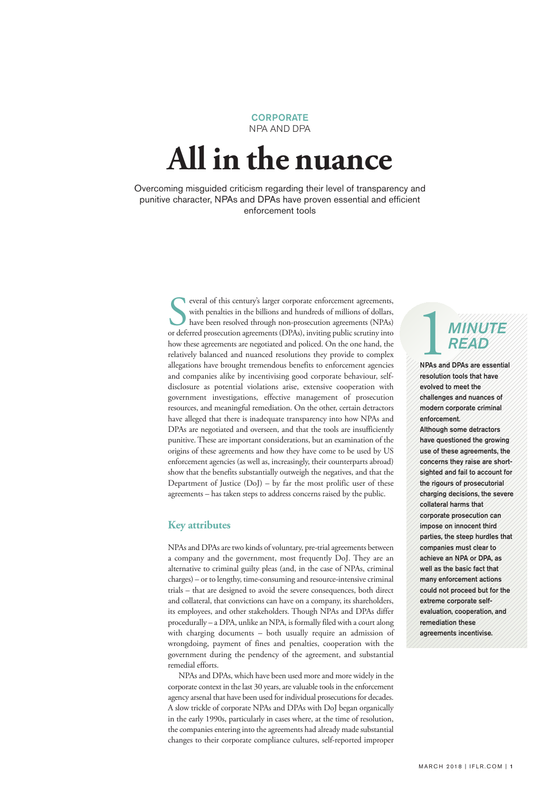#### **CORPORATE** NPA AND DPA

# **All in the nuance**

Overcoming misguided criticism regarding their level of transparency and punitive character, NPAs and DPAs have proven essential and efficient enforcement tools

> Solution and hundreds of millions of dollars,<br>
> with penalties in the billions and hundreds of millions of dollars,<br>
> have been resolved through non-prosecution agreements (NPAs)<br>
> or deferred prosecution agreements (DPAs), i everal of this century's larger corporate enforcement agreements, with penalties in the billions and hundreds of millions of dollars, have been resolved through non-prosecution agreements (NPAs) how these agreements are negotiated and policed. On the one hand, the relatively balanced and nuanced resolutions they provide to complex allegations have brought tremendous benefits to enforcement agencies and companies alike by incentivising good corporate behaviour, selfdisclosure as potential violations arise, extensive cooperation with government investigations, effective management of prosecution resources, and meaningful remediation. On the other, certain detractors have alleged that there is inadequate transparency into how NPAs and DPAs are negotiated and overseen, and that the tools are insufficiently punitive. These are important considerations, but an examination of the origins of these agreements and how they have come to be used by US enforcement agencies (as well as, increasingly, their counterparts abroad) show that the benefits substantially outweigh the negatives, and that the Department of Justice (DoJ) – by far the most prolific user of these agreements – has taken steps to address concerns raised by the public.

### **Key attributes**

NPAs and DPAs are two kinds of voluntary, pre-trial agreements between a company and the government, most frequently DoJ. They are an alternative to criminal guilty pleas (and, in the case of NPAs, criminal charges) – or to lengthy, time-consuming and resource-intensive criminal trials – that are designed to avoid the severe consequences, both direct and collateral, that convictions can have on a company, its shareholders, its employees, and other stakeholders. Though NPAs and DPAs differ procedurally – a DPA, unlike an NPA, is formally filed with a court along with charging documents – both usually require an admission of wrongdoing, payment of fines and penalties, cooperation with the government during the pendency of the agreement, and substantial remedial efforts.

NPAs and DPAs, which have been used more and more widely in the corporate context in the last 30 years, are valuable tools in the enforcement agency arsenal that have been used for individual prosecutions for decades. A slow trickle of corporate NPAs and DPAs with DoJ began organically in the early 1990s, particularly in cases where, at the time of resolution, the companies entering into the agreements had already made substantial changes to their corporate compliance cultures, self-reported improper

## 1*MINUTE READ*

NPAs and DPAs are essential resolution tools that have evolved to meet the challenges and nuances of modern corporate criminal enforcement.

Although some detractors have questioned the growing use of these agreements, the concerns they raise are shortsighted and fail to account for the rigours of prosecutorial charging decisions, the severe collateral harms that corporate prosecution can impose on innocent third parties, the steep hurdles that companies must clear to achieve an NPA or DPA, as well as the basic fact that many enforcement actions could not proceed but for the extreme corporate selfevaluation, cooperation, and remediation these agreements incentivise.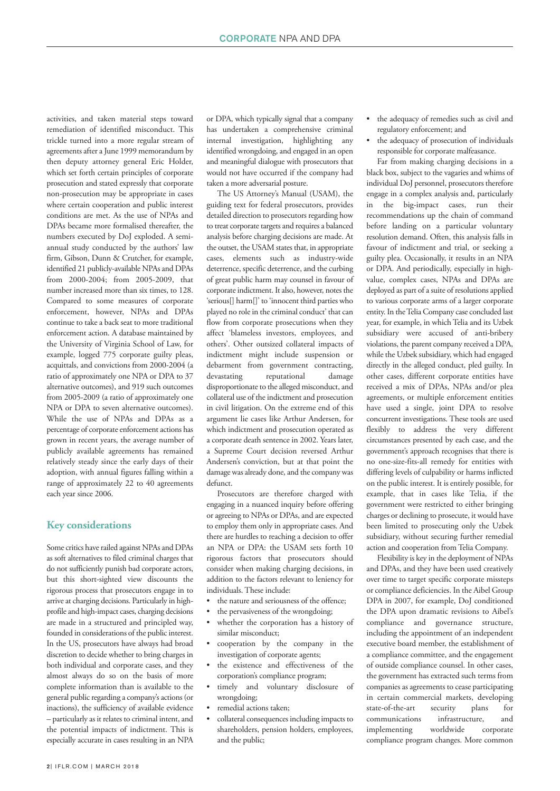activities, and taken material steps toward remediation of identified misconduct. This trickle turned into a more regular stream of agreements after a June 1999 memorandum by then deputy attorney general Eric Holder, which set forth certain principles of corporate prosecution and stated expressly that corporate non-prosecution may be appropriate in cases where certain cooperation and public interest conditions are met. As the use of NPAs and DPAs became more formalised thereafter, the numbers executed by DoJ exploded. A semiannual study conducted by the authors' law firm, Gibson, Dunn & Crutcher, for example, identified 21 publicly-available NPAs and DPAs from 2000-2004; from 2005-2009, that number increased more than six times, to 128. Compared to some measures of corporate enforcement, however, NPAs and DPAs continue to take a back seat to more traditional enforcement action. A database maintained by the University of Virginia School of Law, for example, logged 775 corporate guilty pleas, acquittals, and convictions from 2000-2004 (a ratio of approximately one NPA or DPA to 37 alternative outcomes), and 919 such outcomes from 2005-2009 (a ratio of approximately one NPA or DPA to seven alternative outcomes). While the use of NPAs and DPAs as a percentage of corporate enforcement actions has grown in recent years, the average number of publicly available agreements has remained relatively steady since the early days of their adoption, with annual figures falling within a range of approximately 22 to 40 agreements each year since 2006.

### **Key considerations**

Some critics have railed against NPAs and DPAs as soft alternatives to filed criminal charges that do not sufficiently punish bad corporate actors, but this short-sighted view discounts the rigorous process that prosecutors engage in to arrive at charging decisions. Particularly in highprofile and high-impact cases, charging decisions are made in a structured and principled way, founded in considerations of the public interest. In the US, prosecutors have always had broad discretion to decide whether to bring charges in both individual and corporate cases, and they almost always do so on the basis of more complete information than is available to the general public regarding a company's actions (or inactions), the sufficiency of available evidence – particularly as it relates to criminal intent, and the potential impacts of indictment. This is especially accurate in cases resulting in an NPA

or DPA, which typically signal that a company has undertaken a comprehensive criminal internal investigation, highlighting any identified wrongdoing, and engaged in an open and meaningful dialogue with prosecutors that would not have occurred if the company had taken a more adversarial posture.

The US Attorney's Manual (USAM), the guiding text for federal prosecutors, provides detailed direction to prosecutors regarding how to treat corporate targets and requires a balanced analysis before charging decisions are made. At the outset, the USAM states that, in appropriate cases, elements such as industry-wide deterrence, specific deterrence, and the curbing of great public harm may counsel in favour of corporate indictment. It also, however, notes the 'serious[] harm[]' to 'innocent third parties who played no role in the criminal conduct' that can flow from corporate prosecutions when they affect 'blameless investors, employees, and others'. Other outsized collateral impacts of indictment might include suspension or debarment from government contracting, devastating reputational damage disproportionate to the alleged misconduct, and collateral use of the indictment and prosecution in civil litigation. On the extreme end of this argument lie cases like Arthur Andersen, for which indictment and prosecution operated as a corporate death sentence in 2002. Years later, a Supreme Court decision reversed Arthur Andersen's conviction, but at that point the damage was already done, and the company was defunct.

Prosecutors are therefore charged with engaging in a nuanced inquiry before offering or agreeing to NPAs or DPAs, and are expected to employ them only in appropriate cases. And there are hurdles to reaching a decision to offer an NPA or DPA: the USAM sets forth 10 rigorous factors that prosecutors should consider when making charging decisions, in addition to the factors relevant to leniency for individuals. These include:

- the nature and seriousness of the offence;
- the pervasiveness of the wrongdoing;
- whether the corporation has a history of similar misconduct;
- cooperation by the company in the investigation of corporate agents;
- the existence and effectiveness of the corporation's compliance program;
- timely and voluntary disclosure of wrongdoing;
- remedial actions taken;
- collateral consequences including impacts to shareholders, pension holders, employees, and the public;
- the adequacy of remedies such as civil and regulatory enforcement; and
- the adequacy of prosecution of individuals responsible for corporate malfeasance.

Far from making charging decisions in a black box, subject to the vagaries and whims of individual DoJ personnel, prosecutors therefore engage in a complex analysis and, particularly in the big-impact cases, run their recommendations up the chain of command before landing on a particular voluntary resolution demand. Often, this analysis falls in favour of indictment and trial, or seeking a guilty plea. Occasionally, it results in an NPA or DPA. And periodically, especially in highvalue, complex cases, NPAs and DPAs are deployed as part of a suite of resolutions applied to various corporate arms of a larger corporate entity. In theTeliaCompany case concluded last year, for example, in which Telia and its Uzbek subsidiary were accused of anti-bribery violations, the parent company received a DPA, while the Uzbek subsidiary, which had engaged directly in the alleged conduct, pled guilty. In other cases, different corporate entities have received a mix of DPAs, NPAs and/or plea agreements, or multiple enforcement entities have used a single, joint DPA to resolve concurrent investigations. These tools are used flexibly to address the very different circumstances presented by each case, and the government's approach recognises that there is no one-size-fits-all remedy for entities with differing levels of culpability or harms inflicted on the public interest. It is entirely possible, for example, that in cases like Telia, if the government were restricted to either bringing charges or declining to prosecute, it would have been limited to prosecuting only the Uzbek subsidiary, without securing further remedial action and cooperation from Telia Company.

Flexibility is key in the deployment of NPAs and DPAs, and they have been used creatively over time to target specific corporate missteps or compliance deficiencies. In the Aibel Group DPA in 2007, for example, DoJ conditioned the DPA upon dramatic revisions to Aibel's compliance and governance structure, including the appointment of an independent executive board member, the establishment of a compliance committee, and the engagement of outside compliance counsel. In other cases, the government has extracted such terms from companies as agreements to cease participating in certain commercial markets, developing state-of-the-art security plans for communications infrastructure, and implementing worldwide corporate compliance program changes. More common